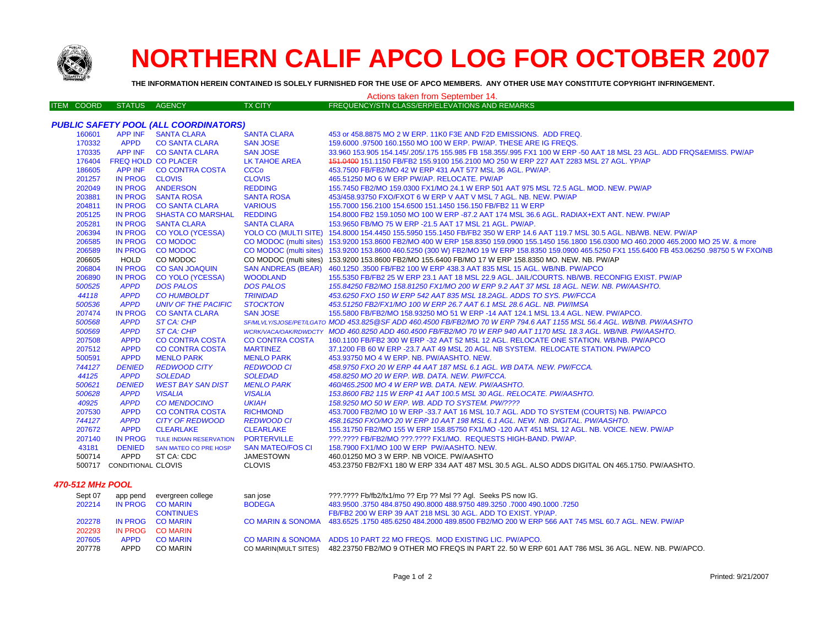

## **NORTHERN CALIF APCO LOG FOR OCTOBER 2007**

**THE INFORMATION HEREIN CONTAINED IS SOLELY FURNISHED FOR THE USE OF APCO MEMBERS. ANY OTHER USE MAY CONSTITUTE COPYRIGHT INFRINGEMENT.**

| <b>ITEM COORD</b><br>STATUS AGENCY<br><b>TX CITY</b><br>FREQUENCY/STN CLASS/ERP/ELEVATIONS AND REMARKS<br><b>PUBLIC SAFETY POOL (ALL COORDINATORS)</b><br>APP INF SANTA CLARA<br><b>SANTA CLARA</b><br>160601<br>453 or 458,8875 MO 2 W ERP, 11K0 F3E AND F2D EMISSIONS. ADD FREQ.<br>170332<br><b>APPD</b><br><b>CO SANTA CLARA</b><br><b>SAN JOSE</b><br>159.6000 .97500 160.1550 MO 100 W ERP. PW/AP. THESE ARE IG FREQS.<br>170335<br>APP INF CO SANTA CLARA<br><b>SAN JOSE</b><br>33.960 153.905 154.145/.205/.175 155.985 FB 158.355/.995 FX1 100 W ERP -50 AAT 18 MSL 23 AGL. ADD FRQS&EMISS. PW/AP<br><b>LK TAHOE AREA</b><br>151.0400 151.1150 FB/FB2 155.9100 156.2100 MO 250 W ERP 227 AAT 2283 MSL 27 AGL. YP/AP<br>176404<br><b>FREQ HOLD CO PLACER</b><br>186605<br>APP INF CO CONTRA COSTA<br><b>CCCo</b><br>453.7500 FB/FB2/MO 42 W ERP 431 AAT 577 MSL 36 AGL. PW/AP.<br><b>CLOVIS</b><br>201257<br>IN PROG CLOVIS<br>465.51250 MO 6 W ERP PW/AP. RELOCATE. PW/AP<br>IN PROG ANDERSON<br>202049<br><b>REDDING</b><br>155.7450 FB2/MO 159.0300 FX1/MO 24.1 W ERP 501 AAT 975 MSL 72.5 AGL. MOD. NEW. PW/AP<br>203881<br><b>IN PROG</b><br><b>SANTA ROSA</b><br><b>SANTA ROSA</b><br>453/458.93750 FXO/FXOT 6 W ERP V AAT V MSL 7 AGL. NB. NEW. PW/AP<br>IN PROG CO SANTA CLARA<br><b>VARIOUS</b><br>204811<br>155.7000 156.2100 154.6500 151.1450 156.150 FB/FB2 11 W ERP<br><b>REDDING</b><br>205125<br>IN PROG<br><b>SHASTA CO MARSHAL</b><br>154.8000 FB2 159.1050 MO 100 W ERP -87.2 AAT 174 MSL 36.6 AGL. RADIAX+EXT ANT. NEW. PW/AP<br>205281<br><b>IN PROG</b><br><b>SANTA CLARA</b><br><b>SANTA CLARA</b><br>153.9650 FB/MO 75 W ERP -21.5 AAT 17 MSL 21 AGL. PW/AP.<br>YOLO CO (MULTI SITE) 154.8000 154.4450 155.5950 155.1450 FB/FB2 350 W ERP 14.6 AAT 119.7 MSL 30.5 AGL. NB/WB. NEW. PW/AP<br>206394<br>IN PROG CO YOLO (YCESSA)<br>206585<br><b>IN PROG</b><br><b>CO MODOC</b><br>CO MODOC (multi sites) 153.9200 153.8600 FB2/MO 400 W ERP 158.8350 159.0900 155.1450 156.1800 156.0300 MO 460.2000 465.2000 MO 25 W. & more<br>206589<br><b>IN PROG</b><br><b>CO MODOC</b><br>CO MODOC (multi sites) 153.9200 153.8600 460.5250 (300 W) FB2/MO 19 W ERP 158.8350 159.0900 465.5250 FX1 155.6400 FB 453.06250 .98750 5 W FXO/NB<br><b>HOLD</b><br>CO MODOC (multi sites) 153.9200 153.8600 FB2/MO 155.6400 FB/MO 17 W ERP 158.8350 MO. NEW. NB. PW/AP<br>206605<br>CO MODOC<br>SAN ANDREAS (BEAR) 460.1250 .3500 FB/FB2 100 W ERP 438.3 AAT 835 MSL 15 AGL. WB/NB. PW/APCO<br>206804<br><b>IN PROG</b><br><b>CO SAN JOAQUIN</b><br>206890<br><b>IN PROG</b><br><b>CO YOLO (YCESSA)</b><br><b>WOODLAND</b><br>155.5350 FB/FB2 25 W ERP 23.1 AAT 18 MSL 22.9 AGL. JAIL/COURTS. NB/WB. RECONFIG EXIST. PW/AP<br>500525<br><b>APPD</b><br><b>DOS PALOS</b><br><b>DOS PALOS</b><br>155.84250 FB2/MO 158.81250 FX1/MO 200 W ERP 9.2 AAT 37 MSL 18 AGL. NEW. NB. PW/AASHTO.<br>44118<br><b>APPD</b><br><b>CO HUMBOLDT</b><br><b>TRINIDAD</b><br>453.6250 FXO 150 W ERP 542 AAT 835 MSL 18.2AGL. ADDS TO SYS. PW/FCCA<br>500536<br><b>APPD</b><br><b>UNIV OF THE PACIFIC</b><br><b>STOCKTON</b><br>453.51250 FB2/FX1/MO 100 W ERP 26.7 AAT 6.1 MSL 28.6 AGL, NB, PW/IMSA<br>207474<br><b>SAN JOSE</b><br><b>IN PROG</b><br><b>CO SANTA CLARA</b><br>155.5800 FB/FB2/MO 158.93250 MO 51 W ERP -14 AAT 124.1 MSL 13.4 AGL. NEW. PW/APCO.<br>500568<br><b>APPD</b><br>ST CA: CHP<br>SF/MLVLY/SJOSE/PET/LGATO MOD 453.825@SF ADD 460.4500 FB/FB2/MO 70 W ERP 794.6 AAT 1155 MSL 56.4 AGL. WB/NB. PW/AASHTO<br>500569<br><b>APPD</b><br><b>ST CA: CHP</b><br>WCRK/VACA/OAK/RDWDCTY MOD 460.8250 ADD 460.4500 FB/FB2/MO 70 W ERP 940 AAT 1170 MSL 18.3 AGL. WB/NB, PW/AASHTO,<br>207508<br><b>APPD</b><br><b>CO CONTRA COSTA</b><br><b>CO CONTRA COSTA</b><br>160.1100 FB/FB2 300 W ERP -32 AAT 52 MSL 12 AGL. RELOCATE ONE STATION. WB/NB. PW/APCO<br>207512<br><b>APPD</b><br><b>CO CONTRA COSTA</b><br>37.1200 FB 60 W ERP -23.7 AAT 49 MSL 20 AGL. NB SYSTEM. RELOCATE STATION. PW/APCO<br><b>MARTINEZ</b><br>500591<br><b>APPD</b><br><b>MENLO PARK</b><br><b>MENLO PARK</b><br>453.93750 MO 4 W ERP. NB. PW/AASHTO. NEW.<br>744127<br><b>DENIED</b><br><b>REDWOOD CITY</b><br><b>REDWOOD CI</b><br>458.9750 FXO 20 W ERP 44 AAT 187 MSL 6.1 AGL. WB DATA. NEW. PW/FCCA.<br>44125<br><b>APPD</b><br><b>SOLEDAD</b><br><b>SOLEDAD</b><br>458.8250 MO 20 W ERP. WB. DATA, NEW. PW/FCCA.<br>500621<br><b>DENIED</b><br><b>WEST BAY SAN DIST</b><br><b>MENLO PARK</b><br>460/465.2500 MO 4 W ERP WB. DATA, NEW, PW/AASHTO.<br>500628<br><b>APPD</b><br><b>VISALIA</b><br><b>VISALIA</b><br>153.8600 FB2 115 W ERP 41 AAT 100.5 MSL 30 AGL. RELOCATE. PW/AASHTO.<br>40925<br><b>APPD</b><br><b>UKIAH</b><br><b>CO MENDOCINO</b><br>158.9250 MO 50 W ERP. WB. ADD TO SYSTEM. PW/????<br>207530<br><b>APPD</b><br><b>CO CONTRA COSTA</b><br><b>RICHMOND</b><br>453.7000 FB2/MO 10 W ERP -33.7 AAT 16 MSL 10.7 AGL. ADD TO SYSTEM (COURTS) NB. PW/APCO<br>744127<br><b>APPD</b><br><b>CITY OF REDWOOD</b><br><b>REDWOOD CI</b><br>458.16250 FXO/MO 20 W ERP 10 AAT 198 MSL 6.1 AGL. NEW. NB. DIGITAL. PW/AASHTO.<br><b>APPD</b><br>207672<br><b>CLEARLAKE</b><br><b>CLEARLAKE</b><br>155.31750 FB2/MO 155 W ERP 158.85750 FX1/MO -120 AAT 451 MSL 12 AGL, NB, VOICE, NEW, PW/AP<br>IN PROG<br>TULE INDIAN RESERVATION PORTERVILLE<br>207140<br>???.???? FB/FB2/MO ???.???? FX1/MO. REQUESTS HIGH-BAND. PW/AP.<br>43181<br><b>DENIED</b><br><b>SAN MATEO/FOS CI</b><br>158.7900 FX1/MO 100 W ERP PW/AASHTO. NEW.<br>SAN MATEO CO PRE HOSP<br>500714<br>APPD<br>ST CA: CDC<br><b>JAMESTOWN</b><br>460.01250 MO 3 W ERP. NB VOICE. PW/AASHTO<br>500717 CONDITIONAL CLOVIS<br><b>CLOVIS</b><br>453.23750 FB2/FX1 180 W ERP 334 AAT 487 MSL 30.5 AGL. ALSO ADDS DIGITAL ON 465.1750. PW/AASHTO. | <u>THE INFORMATION HEREIN CONTAINED IS SOLELT FURNISHED FOR THE USE OF APCO MEMBERS. ANT OTHER USE MAT CONSTITUTE COPTRIGHT INFRINGEMENT.</u><br>Actions taken from September 14. |  |  |  |  |  |  |  |  |  |
|-----------------------------------------------------------------------------------------------------------------------------------------------------------------------------------------------------------------------------------------------------------------------------------------------------------------------------------------------------------------------------------------------------------------------------------------------------------------------------------------------------------------------------------------------------------------------------------------------------------------------------------------------------------------------------------------------------------------------------------------------------------------------------------------------------------------------------------------------------------------------------------------------------------------------------------------------------------------------------------------------------------------------------------------------------------------------------------------------------------------------------------------------------------------------------------------------------------------------------------------------------------------------------------------------------------------------------------------------------------------------------------------------------------------------------------------------------------------------------------------------------------------------------------------------------------------------------------------------------------------------------------------------------------------------------------------------------------------------------------------------------------------------------------------------------------------------------------------------------------------------------------------------------------------------------------------------------------------------------------------------------------------------------------------------------------------------------------------------------------------------------------------------------------------------------------------------------------------------------------------------------------------------------------------------------------------------------------------------------------------------------------------------------------------------------------------------------------------------------------------------------------------------------------------------------------------------------------------------------------------------------------------------------------------------------------------------------------------------------------------------------------------------------------------------------------------------------------------------------------------------------------------------------------------------------------------------------------------------------------------------------------------------------------------------------------------------------------------------------------------------------------------------------------------------------------------------------------------------------------------------------------------------------------------------------------------------------------------------------------------------------------------------------------------------------------------------------------------------------------------------------------------------------------------------------------------------------------------------------------------------------------------------------------------------------------------------------------------------------------------------------------------------------------------------------------------------------------------------------------------------------------------------------------------------------------------------------------------------------------------------------------------------------------------------------------------------------------------------------------------------------------------------------------------------------------------------------------------------------------------------------------------------------------------------------------------------------------------------------------------------------------------------------------------------------------------------------------------------------------------------------------------------------------------------------------------------------------------------------------------------------------------------------------------------------------------------------------------------------------------------------------------------------------------------------------------------------------------------------------------------------------------------------------------------------------------------------------------------------------------------------------------------------------------------------------------------------------------------------------------------------------------------------------------------------------------------------------------------------------------------------------------------------------------------------------------------------------------------------------------------------------------------------------------------------------------------------------------------------------------------------------------------------------------------------------------------------------------------------------------------------------------------------------------------------------------------------------------------------------------------------------------------------------------------------------|-----------------------------------------------------------------------------------------------------------------------------------------------------------------------------------|--|--|--|--|--|--|--|--|--|
|                                                                                                                                                                                                                                                                                                                                                                                                                                                                                                                                                                                                                                                                                                                                                                                                                                                                                                                                                                                                                                                                                                                                                                                                                                                                                                                                                                                                                                                                                                                                                                                                                                                                                                                                                                                                                                                                                                                                                                                                                                                                                                                                                                                                                                                                                                                                                                                                                                                                                                                                                                                                                                                                                                                                                                                                                                                                                                                                                                                                                                                                                                                                                                                                                                                                                                                                                                                                                                                                                                                                                                                                                                                                                                                                                                                                                                                                                                                                                                                                                                                                                                                                                                                                                                                                                                                                                                                                                                                                                                                                                                                                                                                                                                                                                                                                                                                                                                                                                                                                                                                                                                                                                                                                                                                                                                                                                                                                                                                                                                                                                                                                                                                                                                                                                                                                           |                                                                                                                                                                                   |  |  |  |  |  |  |  |  |  |
|                                                                                                                                                                                                                                                                                                                                                                                                                                                                                                                                                                                                                                                                                                                                                                                                                                                                                                                                                                                                                                                                                                                                                                                                                                                                                                                                                                                                                                                                                                                                                                                                                                                                                                                                                                                                                                                                                                                                                                                                                                                                                                                                                                                                                                                                                                                                                                                                                                                                                                                                                                                                                                                                                                                                                                                                                                                                                                                                                                                                                                                                                                                                                                                                                                                                                                                                                                                                                                                                                                                                                                                                                                                                                                                                                                                                                                                                                                                                                                                                                                                                                                                                                                                                                                                                                                                                                                                                                                                                                                                                                                                                                                                                                                                                                                                                                                                                                                                                                                                                                                                                                                                                                                                                                                                                                                                                                                                                                                                                                                                                                                                                                                                                                                                                                                                                           |                                                                                                                                                                                   |  |  |  |  |  |  |  |  |  |
|                                                                                                                                                                                                                                                                                                                                                                                                                                                                                                                                                                                                                                                                                                                                                                                                                                                                                                                                                                                                                                                                                                                                                                                                                                                                                                                                                                                                                                                                                                                                                                                                                                                                                                                                                                                                                                                                                                                                                                                                                                                                                                                                                                                                                                                                                                                                                                                                                                                                                                                                                                                                                                                                                                                                                                                                                                                                                                                                                                                                                                                                                                                                                                                                                                                                                                                                                                                                                                                                                                                                                                                                                                                                                                                                                                                                                                                                                                                                                                                                                                                                                                                                                                                                                                                                                                                                                                                                                                                                                                                                                                                                                                                                                                                                                                                                                                                                                                                                                                                                                                                                                                                                                                                                                                                                                                                                                                                                                                                                                                                                                                                                                                                                                                                                                                                                           |                                                                                                                                                                                   |  |  |  |  |  |  |  |  |  |
|                                                                                                                                                                                                                                                                                                                                                                                                                                                                                                                                                                                                                                                                                                                                                                                                                                                                                                                                                                                                                                                                                                                                                                                                                                                                                                                                                                                                                                                                                                                                                                                                                                                                                                                                                                                                                                                                                                                                                                                                                                                                                                                                                                                                                                                                                                                                                                                                                                                                                                                                                                                                                                                                                                                                                                                                                                                                                                                                                                                                                                                                                                                                                                                                                                                                                                                                                                                                                                                                                                                                                                                                                                                                                                                                                                                                                                                                                                                                                                                                                                                                                                                                                                                                                                                                                                                                                                                                                                                                                                                                                                                                                                                                                                                                                                                                                                                                                                                                                                                                                                                                                                                                                                                                                                                                                                                                                                                                                                                                                                                                                                                                                                                                                                                                                                                                           |                                                                                                                                                                                   |  |  |  |  |  |  |  |  |  |
|                                                                                                                                                                                                                                                                                                                                                                                                                                                                                                                                                                                                                                                                                                                                                                                                                                                                                                                                                                                                                                                                                                                                                                                                                                                                                                                                                                                                                                                                                                                                                                                                                                                                                                                                                                                                                                                                                                                                                                                                                                                                                                                                                                                                                                                                                                                                                                                                                                                                                                                                                                                                                                                                                                                                                                                                                                                                                                                                                                                                                                                                                                                                                                                                                                                                                                                                                                                                                                                                                                                                                                                                                                                                                                                                                                                                                                                                                                                                                                                                                                                                                                                                                                                                                                                                                                                                                                                                                                                                                                                                                                                                                                                                                                                                                                                                                                                                                                                                                                                                                                                                                                                                                                                                                                                                                                                                                                                                                                                                                                                                                                                                                                                                                                                                                                                                           |                                                                                                                                                                                   |  |  |  |  |  |  |  |  |  |
|                                                                                                                                                                                                                                                                                                                                                                                                                                                                                                                                                                                                                                                                                                                                                                                                                                                                                                                                                                                                                                                                                                                                                                                                                                                                                                                                                                                                                                                                                                                                                                                                                                                                                                                                                                                                                                                                                                                                                                                                                                                                                                                                                                                                                                                                                                                                                                                                                                                                                                                                                                                                                                                                                                                                                                                                                                                                                                                                                                                                                                                                                                                                                                                                                                                                                                                                                                                                                                                                                                                                                                                                                                                                                                                                                                                                                                                                                                                                                                                                                                                                                                                                                                                                                                                                                                                                                                                                                                                                                                                                                                                                                                                                                                                                                                                                                                                                                                                                                                                                                                                                                                                                                                                                                                                                                                                                                                                                                                                                                                                                                                                                                                                                                                                                                                                                           |                                                                                                                                                                                   |  |  |  |  |  |  |  |  |  |
|                                                                                                                                                                                                                                                                                                                                                                                                                                                                                                                                                                                                                                                                                                                                                                                                                                                                                                                                                                                                                                                                                                                                                                                                                                                                                                                                                                                                                                                                                                                                                                                                                                                                                                                                                                                                                                                                                                                                                                                                                                                                                                                                                                                                                                                                                                                                                                                                                                                                                                                                                                                                                                                                                                                                                                                                                                                                                                                                                                                                                                                                                                                                                                                                                                                                                                                                                                                                                                                                                                                                                                                                                                                                                                                                                                                                                                                                                                                                                                                                                                                                                                                                                                                                                                                                                                                                                                                                                                                                                                                                                                                                                                                                                                                                                                                                                                                                                                                                                                                                                                                                                                                                                                                                                                                                                                                                                                                                                                                                                                                                                                                                                                                                                                                                                                                                           |                                                                                                                                                                                   |  |  |  |  |  |  |  |  |  |
|                                                                                                                                                                                                                                                                                                                                                                                                                                                                                                                                                                                                                                                                                                                                                                                                                                                                                                                                                                                                                                                                                                                                                                                                                                                                                                                                                                                                                                                                                                                                                                                                                                                                                                                                                                                                                                                                                                                                                                                                                                                                                                                                                                                                                                                                                                                                                                                                                                                                                                                                                                                                                                                                                                                                                                                                                                                                                                                                                                                                                                                                                                                                                                                                                                                                                                                                                                                                                                                                                                                                                                                                                                                                                                                                                                                                                                                                                                                                                                                                                                                                                                                                                                                                                                                                                                                                                                                                                                                                                                                                                                                                                                                                                                                                                                                                                                                                                                                                                                                                                                                                                                                                                                                                                                                                                                                                                                                                                                                                                                                                                                                                                                                                                                                                                                                                           |                                                                                                                                                                                   |  |  |  |  |  |  |  |  |  |
|                                                                                                                                                                                                                                                                                                                                                                                                                                                                                                                                                                                                                                                                                                                                                                                                                                                                                                                                                                                                                                                                                                                                                                                                                                                                                                                                                                                                                                                                                                                                                                                                                                                                                                                                                                                                                                                                                                                                                                                                                                                                                                                                                                                                                                                                                                                                                                                                                                                                                                                                                                                                                                                                                                                                                                                                                                                                                                                                                                                                                                                                                                                                                                                                                                                                                                                                                                                                                                                                                                                                                                                                                                                                                                                                                                                                                                                                                                                                                                                                                                                                                                                                                                                                                                                                                                                                                                                                                                                                                                                                                                                                                                                                                                                                                                                                                                                                                                                                                                                                                                                                                                                                                                                                                                                                                                                                                                                                                                                                                                                                                                                                                                                                                                                                                                                                           |                                                                                                                                                                                   |  |  |  |  |  |  |  |  |  |
|                                                                                                                                                                                                                                                                                                                                                                                                                                                                                                                                                                                                                                                                                                                                                                                                                                                                                                                                                                                                                                                                                                                                                                                                                                                                                                                                                                                                                                                                                                                                                                                                                                                                                                                                                                                                                                                                                                                                                                                                                                                                                                                                                                                                                                                                                                                                                                                                                                                                                                                                                                                                                                                                                                                                                                                                                                                                                                                                                                                                                                                                                                                                                                                                                                                                                                                                                                                                                                                                                                                                                                                                                                                                                                                                                                                                                                                                                                                                                                                                                                                                                                                                                                                                                                                                                                                                                                                                                                                                                                                                                                                                                                                                                                                                                                                                                                                                                                                                                                                                                                                                                                                                                                                                                                                                                                                                                                                                                                                                                                                                                                                                                                                                                                                                                                                                           |                                                                                                                                                                                   |  |  |  |  |  |  |  |  |  |
|                                                                                                                                                                                                                                                                                                                                                                                                                                                                                                                                                                                                                                                                                                                                                                                                                                                                                                                                                                                                                                                                                                                                                                                                                                                                                                                                                                                                                                                                                                                                                                                                                                                                                                                                                                                                                                                                                                                                                                                                                                                                                                                                                                                                                                                                                                                                                                                                                                                                                                                                                                                                                                                                                                                                                                                                                                                                                                                                                                                                                                                                                                                                                                                                                                                                                                                                                                                                                                                                                                                                                                                                                                                                                                                                                                                                                                                                                                                                                                                                                                                                                                                                                                                                                                                                                                                                                                                                                                                                                                                                                                                                                                                                                                                                                                                                                                                                                                                                                                                                                                                                                                                                                                                                                                                                                                                                                                                                                                                                                                                                                                                                                                                                                                                                                                                                           |                                                                                                                                                                                   |  |  |  |  |  |  |  |  |  |
|                                                                                                                                                                                                                                                                                                                                                                                                                                                                                                                                                                                                                                                                                                                                                                                                                                                                                                                                                                                                                                                                                                                                                                                                                                                                                                                                                                                                                                                                                                                                                                                                                                                                                                                                                                                                                                                                                                                                                                                                                                                                                                                                                                                                                                                                                                                                                                                                                                                                                                                                                                                                                                                                                                                                                                                                                                                                                                                                                                                                                                                                                                                                                                                                                                                                                                                                                                                                                                                                                                                                                                                                                                                                                                                                                                                                                                                                                                                                                                                                                                                                                                                                                                                                                                                                                                                                                                                                                                                                                                                                                                                                                                                                                                                                                                                                                                                                                                                                                                                                                                                                                                                                                                                                                                                                                                                                                                                                                                                                                                                                                                                                                                                                                                                                                                                                           |                                                                                                                                                                                   |  |  |  |  |  |  |  |  |  |
|                                                                                                                                                                                                                                                                                                                                                                                                                                                                                                                                                                                                                                                                                                                                                                                                                                                                                                                                                                                                                                                                                                                                                                                                                                                                                                                                                                                                                                                                                                                                                                                                                                                                                                                                                                                                                                                                                                                                                                                                                                                                                                                                                                                                                                                                                                                                                                                                                                                                                                                                                                                                                                                                                                                                                                                                                                                                                                                                                                                                                                                                                                                                                                                                                                                                                                                                                                                                                                                                                                                                                                                                                                                                                                                                                                                                                                                                                                                                                                                                                                                                                                                                                                                                                                                                                                                                                                                                                                                                                                                                                                                                                                                                                                                                                                                                                                                                                                                                                                                                                                                                                                                                                                                                                                                                                                                                                                                                                                                                                                                                                                                                                                                                                                                                                                                                           |                                                                                                                                                                                   |  |  |  |  |  |  |  |  |  |
|                                                                                                                                                                                                                                                                                                                                                                                                                                                                                                                                                                                                                                                                                                                                                                                                                                                                                                                                                                                                                                                                                                                                                                                                                                                                                                                                                                                                                                                                                                                                                                                                                                                                                                                                                                                                                                                                                                                                                                                                                                                                                                                                                                                                                                                                                                                                                                                                                                                                                                                                                                                                                                                                                                                                                                                                                                                                                                                                                                                                                                                                                                                                                                                                                                                                                                                                                                                                                                                                                                                                                                                                                                                                                                                                                                                                                                                                                                                                                                                                                                                                                                                                                                                                                                                                                                                                                                                                                                                                                                                                                                                                                                                                                                                                                                                                                                                                                                                                                                                                                                                                                                                                                                                                                                                                                                                                                                                                                                                                                                                                                                                                                                                                                                                                                                                                           |                                                                                                                                                                                   |  |  |  |  |  |  |  |  |  |
|                                                                                                                                                                                                                                                                                                                                                                                                                                                                                                                                                                                                                                                                                                                                                                                                                                                                                                                                                                                                                                                                                                                                                                                                                                                                                                                                                                                                                                                                                                                                                                                                                                                                                                                                                                                                                                                                                                                                                                                                                                                                                                                                                                                                                                                                                                                                                                                                                                                                                                                                                                                                                                                                                                                                                                                                                                                                                                                                                                                                                                                                                                                                                                                                                                                                                                                                                                                                                                                                                                                                                                                                                                                                                                                                                                                                                                                                                                                                                                                                                                                                                                                                                                                                                                                                                                                                                                                                                                                                                                                                                                                                                                                                                                                                                                                                                                                                                                                                                                                                                                                                                                                                                                                                                                                                                                                                                                                                                                                                                                                                                                                                                                                                                                                                                                                                           |                                                                                                                                                                                   |  |  |  |  |  |  |  |  |  |
|                                                                                                                                                                                                                                                                                                                                                                                                                                                                                                                                                                                                                                                                                                                                                                                                                                                                                                                                                                                                                                                                                                                                                                                                                                                                                                                                                                                                                                                                                                                                                                                                                                                                                                                                                                                                                                                                                                                                                                                                                                                                                                                                                                                                                                                                                                                                                                                                                                                                                                                                                                                                                                                                                                                                                                                                                                                                                                                                                                                                                                                                                                                                                                                                                                                                                                                                                                                                                                                                                                                                                                                                                                                                                                                                                                                                                                                                                                                                                                                                                                                                                                                                                                                                                                                                                                                                                                                                                                                                                                                                                                                                                                                                                                                                                                                                                                                                                                                                                                                                                                                                                                                                                                                                                                                                                                                                                                                                                                                                                                                                                                                                                                                                                                                                                                                                           |                                                                                                                                                                                   |  |  |  |  |  |  |  |  |  |
|                                                                                                                                                                                                                                                                                                                                                                                                                                                                                                                                                                                                                                                                                                                                                                                                                                                                                                                                                                                                                                                                                                                                                                                                                                                                                                                                                                                                                                                                                                                                                                                                                                                                                                                                                                                                                                                                                                                                                                                                                                                                                                                                                                                                                                                                                                                                                                                                                                                                                                                                                                                                                                                                                                                                                                                                                                                                                                                                                                                                                                                                                                                                                                                                                                                                                                                                                                                                                                                                                                                                                                                                                                                                                                                                                                                                                                                                                                                                                                                                                                                                                                                                                                                                                                                                                                                                                                                                                                                                                                                                                                                                                                                                                                                                                                                                                                                                                                                                                                                                                                                                                                                                                                                                                                                                                                                                                                                                                                                                                                                                                                                                                                                                                                                                                                                                           |                                                                                                                                                                                   |  |  |  |  |  |  |  |  |  |
|                                                                                                                                                                                                                                                                                                                                                                                                                                                                                                                                                                                                                                                                                                                                                                                                                                                                                                                                                                                                                                                                                                                                                                                                                                                                                                                                                                                                                                                                                                                                                                                                                                                                                                                                                                                                                                                                                                                                                                                                                                                                                                                                                                                                                                                                                                                                                                                                                                                                                                                                                                                                                                                                                                                                                                                                                                                                                                                                                                                                                                                                                                                                                                                                                                                                                                                                                                                                                                                                                                                                                                                                                                                                                                                                                                                                                                                                                                                                                                                                                                                                                                                                                                                                                                                                                                                                                                                                                                                                                                                                                                                                                                                                                                                                                                                                                                                                                                                                                                                                                                                                                                                                                                                                                                                                                                                                                                                                                                                                                                                                                                                                                                                                                                                                                                                                           |                                                                                                                                                                                   |  |  |  |  |  |  |  |  |  |
|                                                                                                                                                                                                                                                                                                                                                                                                                                                                                                                                                                                                                                                                                                                                                                                                                                                                                                                                                                                                                                                                                                                                                                                                                                                                                                                                                                                                                                                                                                                                                                                                                                                                                                                                                                                                                                                                                                                                                                                                                                                                                                                                                                                                                                                                                                                                                                                                                                                                                                                                                                                                                                                                                                                                                                                                                                                                                                                                                                                                                                                                                                                                                                                                                                                                                                                                                                                                                                                                                                                                                                                                                                                                                                                                                                                                                                                                                                                                                                                                                                                                                                                                                                                                                                                                                                                                                                                                                                                                                                                                                                                                                                                                                                                                                                                                                                                                                                                                                                                                                                                                                                                                                                                                                                                                                                                                                                                                                                                                                                                                                                                                                                                                                                                                                                                                           |                                                                                                                                                                                   |  |  |  |  |  |  |  |  |  |
|                                                                                                                                                                                                                                                                                                                                                                                                                                                                                                                                                                                                                                                                                                                                                                                                                                                                                                                                                                                                                                                                                                                                                                                                                                                                                                                                                                                                                                                                                                                                                                                                                                                                                                                                                                                                                                                                                                                                                                                                                                                                                                                                                                                                                                                                                                                                                                                                                                                                                                                                                                                                                                                                                                                                                                                                                                                                                                                                                                                                                                                                                                                                                                                                                                                                                                                                                                                                                                                                                                                                                                                                                                                                                                                                                                                                                                                                                                                                                                                                                                                                                                                                                                                                                                                                                                                                                                                                                                                                                                                                                                                                                                                                                                                                                                                                                                                                                                                                                                                                                                                                                                                                                                                                                                                                                                                                                                                                                                                                                                                                                                                                                                                                                                                                                                                                           |                                                                                                                                                                                   |  |  |  |  |  |  |  |  |  |
|                                                                                                                                                                                                                                                                                                                                                                                                                                                                                                                                                                                                                                                                                                                                                                                                                                                                                                                                                                                                                                                                                                                                                                                                                                                                                                                                                                                                                                                                                                                                                                                                                                                                                                                                                                                                                                                                                                                                                                                                                                                                                                                                                                                                                                                                                                                                                                                                                                                                                                                                                                                                                                                                                                                                                                                                                                                                                                                                                                                                                                                                                                                                                                                                                                                                                                                                                                                                                                                                                                                                                                                                                                                                                                                                                                                                                                                                                                                                                                                                                                                                                                                                                                                                                                                                                                                                                                                                                                                                                                                                                                                                                                                                                                                                                                                                                                                                                                                                                                                                                                                                                                                                                                                                                                                                                                                                                                                                                                                                                                                                                                                                                                                                                                                                                                                                           |                                                                                                                                                                                   |  |  |  |  |  |  |  |  |  |
|                                                                                                                                                                                                                                                                                                                                                                                                                                                                                                                                                                                                                                                                                                                                                                                                                                                                                                                                                                                                                                                                                                                                                                                                                                                                                                                                                                                                                                                                                                                                                                                                                                                                                                                                                                                                                                                                                                                                                                                                                                                                                                                                                                                                                                                                                                                                                                                                                                                                                                                                                                                                                                                                                                                                                                                                                                                                                                                                                                                                                                                                                                                                                                                                                                                                                                                                                                                                                                                                                                                                                                                                                                                                                                                                                                                                                                                                                                                                                                                                                                                                                                                                                                                                                                                                                                                                                                                                                                                                                                                                                                                                                                                                                                                                                                                                                                                                                                                                                                                                                                                                                                                                                                                                                                                                                                                                                                                                                                                                                                                                                                                                                                                                                                                                                                                                           |                                                                                                                                                                                   |  |  |  |  |  |  |  |  |  |
|                                                                                                                                                                                                                                                                                                                                                                                                                                                                                                                                                                                                                                                                                                                                                                                                                                                                                                                                                                                                                                                                                                                                                                                                                                                                                                                                                                                                                                                                                                                                                                                                                                                                                                                                                                                                                                                                                                                                                                                                                                                                                                                                                                                                                                                                                                                                                                                                                                                                                                                                                                                                                                                                                                                                                                                                                                                                                                                                                                                                                                                                                                                                                                                                                                                                                                                                                                                                                                                                                                                                                                                                                                                                                                                                                                                                                                                                                                                                                                                                                                                                                                                                                                                                                                                                                                                                                                                                                                                                                                                                                                                                                                                                                                                                                                                                                                                                                                                                                                                                                                                                                                                                                                                                                                                                                                                                                                                                                                                                                                                                                                                                                                                                                                                                                                                                           |                                                                                                                                                                                   |  |  |  |  |  |  |  |  |  |
|                                                                                                                                                                                                                                                                                                                                                                                                                                                                                                                                                                                                                                                                                                                                                                                                                                                                                                                                                                                                                                                                                                                                                                                                                                                                                                                                                                                                                                                                                                                                                                                                                                                                                                                                                                                                                                                                                                                                                                                                                                                                                                                                                                                                                                                                                                                                                                                                                                                                                                                                                                                                                                                                                                                                                                                                                                                                                                                                                                                                                                                                                                                                                                                                                                                                                                                                                                                                                                                                                                                                                                                                                                                                                                                                                                                                                                                                                                                                                                                                                                                                                                                                                                                                                                                                                                                                                                                                                                                                                                                                                                                                                                                                                                                                                                                                                                                                                                                                                                                                                                                                                                                                                                                                                                                                                                                                                                                                                                                                                                                                                                                                                                                                                                                                                                                                           |                                                                                                                                                                                   |  |  |  |  |  |  |  |  |  |
|                                                                                                                                                                                                                                                                                                                                                                                                                                                                                                                                                                                                                                                                                                                                                                                                                                                                                                                                                                                                                                                                                                                                                                                                                                                                                                                                                                                                                                                                                                                                                                                                                                                                                                                                                                                                                                                                                                                                                                                                                                                                                                                                                                                                                                                                                                                                                                                                                                                                                                                                                                                                                                                                                                                                                                                                                                                                                                                                                                                                                                                                                                                                                                                                                                                                                                                                                                                                                                                                                                                                                                                                                                                                                                                                                                                                                                                                                                                                                                                                                                                                                                                                                                                                                                                                                                                                                                                                                                                                                                                                                                                                                                                                                                                                                                                                                                                                                                                                                                                                                                                                                                                                                                                                                                                                                                                                                                                                                                                                                                                                                                                                                                                                                                                                                                                                           |                                                                                                                                                                                   |  |  |  |  |  |  |  |  |  |
|                                                                                                                                                                                                                                                                                                                                                                                                                                                                                                                                                                                                                                                                                                                                                                                                                                                                                                                                                                                                                                                                                                                                                                                                                                                                                                                                                                                                                                                                                                                                                                                                                                                                                                                                                                                                                                                                                                                                                                                                                                                                                                                                                                                                                                                                                                                                                                                                                                                                                                                                                                                                                                                                                                                                                                                                                                                                                                                                                                                                                                                                                                                                                                                                                                                                                                                                                                                                                                                                                                                                                                                                                                                                                                                                                                                                                                                                                                                                                                                                                                                                                                                                                                                                                                                                                                                                                                                                                                                                                                                                                                                                                                                                                                                                                                                                                                                                                                                                                                                                                                                                                                                                                                                                                                                                                                                                                                                                                                                                                                                                                                                                                                                                                                                                                                                                           |                                                                                                                                                                                   |  |  |  |  |  |  |  |  |  |
|                                                                                                                                                                                                                                                                                                                                                                                                                                                                                                                                                                                                                                                                                                                                                                                                                                                                                                                                                                                                                                                                                                                                                                                                                                                                                                                                                                                                                                                                                                                                                                                                                                                                                                                                                                                                                                                                                                                                                                                                                                                                                                                                                                                                                                                                                                                                                                                                                                                                                                                                                                                                                                                                                                                                                                                                                                                                                                                                                                                                                                                                                                                                                                                                                                                                                                                                                                                                                                                                                                                                                                                                                                                                                                                                                                                                                                                                                                                                                                                                                                                                                                                                                                                                                                                                                                                                                                                                                                                                                                                                                                                                                                                                                                                                                                                                                                                                                                                                                                                                                                                                                                                                                                                                                                                                                                                                                                                                                                                                                                                                                                                                                                                                                                                                                                                                           |                                                                                                                                                                                   |  |  |  |  |  |  |  |  |  |
|                                                                                                                                                                                                                                                                                                                                                                                                                                                                                                                                                                                                                                                                                                                                                                                                                                                                                                                                                                                                                                                                                                                                                                                                                                                                                                                                                                                                                                                                                                                                                                                                                                                                                                                                                                                                                                                                                                                                                                                                                                                                                                                                                                                                                                                                                                                                                                                                                                                                                                                                                                                                                                                                                                                                                                                                                                                                                                                                                                                                                                                                                                                                                                                                                                                                                                                                                                                                                                                                                                                                                                                                                                                                                                                                                                                                                                                                                                                                                                                                                                                                                                                                                                                                                                                                                                                                                                                                                                                                                                                                                                                                                                                                                                                                                                                                                                                                                                                                                                                                                                                                                                                                                                                                                                                                                                                                                                                                                                                                                                                                                                                                                                                                                                                                                                                                           |                                                                                                                                                                                   |  |  |  |  |  |  |  |  |  |
|                                                                                                                                                                                                                                                                                                                                                                                                                                                                                                                                                                                                                                                                                                                                                                                                                                                                                                                                                                                                                                                                                                                                                                                                                                                                                                                                                                                                                                                                                                                                                                                                                                                                                                                                                                                                                                                                                                                                                                                                                                                                                                                                                                                                                                                                                                                                                                                                                                                                                                                                                                                                                                                                                                                                                                                                                                                                                                                                                                                                                                                                                                                                                                                                                                                                                                                                                                                                                                                                                                                                                                                                                                                                                                                                                                                                                                                                                                                                                                                                                                                                                                                                                                                                                                                                                                                                                                                                                                                                                                                                                                                                                                                                                                                                                                                                                                                                                                                                                                                                                                                                                                                                                                                                                                                                                                                                                                                                                                                                                                                                                                                                                                                                                                                                                                                                           |                                                                                                                                                                                   |  |  |  |  |  |  |  |  |  |
|                                                                                                                                                                                                                                                                                                                                                                                                                                                                                                                                                                                                                                                                                                                                                                                                                                                                                                                                                                                                                                                                                                                                                                                                                                                                                                                                                                                                                                                                                                                                                                                                                                                                                                                                                                                                                                                                                                                                                                                                                                                                                                                                                                                                                                                                                                                                                                                                                                                                                                                                                                                                                                                                                                                                                                                                                                                                                                                                                                                                                                                                                                                                                                                                                                                                                                                                                                                                                                                                                                                                                                                                                                                                                                                                                                                                                                                                                                                                                                                                                                                                                                                                                                                                                                                                                                                                                                                                                                                                                                                                                                                                                                                                                                                                                                                                                                                                                                                                                                                                                                                                                                                                                                                                                                                                                                                                                                                                                                                                                                                                                                                                                                                                                                                                                                                                           |                                                                                                                                                                                   |  |  |  |  |  |  |  |  |  |
|                                                                                                                                                                                                                                                                                                                                                                                                                                                                                                                                                                                                                                                                                                                                                                                                                                                                                                                                                                                                                                                                                                                                                                                                                                                                                                                                                                                                                                                                                                                                                                                                                                                                                                                                                                                                                                                                                                                                                                                                                                                                                                                                                                                                                                                                                                                                                                                                                                                                                                                                                                                                                                                                                                                                                                                                                                                                                                                                                                                                                                                                                                                                                                                                                                                                                                                                                                                                                                                                                                                                                                                                                                                                                                                                                                                                                                                                                                                                                                                                                                                                                                                                                                                                                                                                                                                                                                                                                                                                                                                                                                                                                                                                                                                                                                                                                                                                                                                                                                                                                                                                                                                                                                                                                                                                                                                                                                                                                                                                                                                                                                                                                                                                                                                                                                                                           |                                                                                                                                                                                   |  |  |  |  |  |  |  |  |  |
|                                                                                                                                                                                                                                                                                                                                                                                                                                                                                                                                                                                                                                                                                                                                                                                                                                                                                                                                                                                                                                                                                                                                                                                                                                                                                                                                                                                                                                                                                                                                                                                                                                                                                                                                                                                                                                                                                                                                                                                                                                                                                                                                                                                                                                                                                                                                                                                                                                                                                                                                                                                                                                                                                                                                                                                                                                                                                                                                                                                                                                                                                                                                                                                                                                                                                                                                                                                                                                                                                                                                                                                                                                                                                                                                                                                                                                                                                                                                                                                                                                                                                                                                                                                                                                                                                                                                                                                                                                                                                                                                                                                                                                                                                                                                                                                                                                                                                                                                                                                                                                                                                                                                                                                                                                                                                                                                                                                                                                                                                                                                                                                                                                                                                                                                                                                                           |                                                                                                                                                                                   |  |  |  |  |  |  |  |  |  |
|                                                                                                                                                                                                                                                                                                                                                                                                                                                                                                                                                                                                                                                                                                                                                                                                                                                                                                                                                                                                                                                                                                                                                                                                                                                                                                                                                                                                                                                                                                                                                                                                                                                                                                                                                                                                                                                                                                                                                                                                                                                                                                                                                                                                                                                                                                                                                                                                                                                                                                                                                                                                                                                                                                                                                                                                                                                                                                                                                                                                                                                                                                                                                                                                                                                                                                                                                                                                                                                                                                                                                                                                                                                                                                                                                                                                                                                                                                                                                                                                                                                                                                                                                                                                                                                                                                                                                                                                                                                                                                                                                                                                                                                                                                                                                                                                                                                                                                                                                                                                                                                                                                                                                                                                                                                                                                                                                                                                                                                                                                                                                                                                                                                                                                                                                                                                           |                                                                                                                                                                                   |  |  |  |  |  |  |  |  |  |
|                                                                                                                                                                                                                                                                                                                                                                                                                                                                                                                                                                                                                                                                                                                                                                                                                                                                                                                                                                                                                                                                                                                                                                                                                                                                                                                                                                                                                                                                                                                                                                                                                                                                                                                                                                                                                                                                                                                                                                                                                                                                                                                                                                                                                                                                                                                                                                                                                                                                                                                                                                                                                                                                                                                                                                                                                                                                                                                                                                                                                                                                                                                                                                                                                                                                                                                                                                                                                                                                                                                                                                                                                                                                                                                                                                                                                                                                                                                                                                                                                                                                                                                                                                                                                                                                                                                                                                                                                                                                                                                                                                                                                                                                                                                                                                                                                                                                                                                                                                                                                                                                                                                                                                                                                                                                                                                                                                                                                                                                                                                                                                                                                                                                                                                                                                                                           |                                                                                                                                                                                   |  |  |  |  |  |  |  |  |  |
|                                                                                                                                                                                                                                                                                                                                                                                                                                                                                                                                                                                                                                                                                                                                                                                                                                                                                                                                                                                                                                                                                                                                                                                                                                                                                                                                                                                                                                                                                                                                                                                                                                                                                                                                                                                                                                                                                                                                                                                                                                                                                                                                                                                                                                                                                                                                                                                                                                                                                                                                                                                                                                                                                                                                                                                                                                                                                                                                                                                                                                                                                                                                                                                                                                                                                                                                                                                                                                                                                                                                                                                                                                                                                                                                                                                                                                                                                                                                                                                                                                                                                                                                                                                                                                                                                                                                                                                                                                                                                                                                                                                                                                                                                                                                                                                                                                                                                                                                                                                                                                                                                                                                                                                                                                                                                                                                                                                                                                                                                                                                                                                                                                                                                                                                                                                                           |                                                                                                                                                                                   |  |  |  |  |  |  |  |  |  |
|                                                                                                                                                                                                                                                                                                                                                                                                                                                                                                                                                                                                                                                                                                                                                                                                                                                                                                                                                                                                                                                                                                                                                                                                                                                                                                                                                                                                                                                                                                                                                                                                                                                                                                                                                                                                                                                                                                                                                                                                                                                                                                                                                                                                                                                                                                                                                                                                                                                                                                                                                                                                                                                                                                                                                                                                                                                                                                                                                                                                                                                                                                                                                                                                                                                                                                                                                                                                                                                                                                                                                                                                                                                                                                                                                                                                                                                                                                                                                                                                                                                                                                                                                                                                                                                                                                                                                                                                                                                                                                                                                                                                                                                                                                                                                                                                                                                                                                                                                                                                                                                                                                                                                                                                                                                                                                                                                                                                                                                                                                                                                                                                                                                                                                                                                                                                           |                                                                                                                                                                                   |  |  |  |  |  |  |  |  |  |
|                                                                                                                                                                                                                                                                                                                                                                                                                                                                                                                                                                                                                                                                                                                                                                                                                                                                                                                                                                                                                                                                                                                                                                                                                                                                                                                                                                                                                                                                                                                                                                                                                                                                                                                                                                                                                                                                                                                                                                                                                                                                                                                                                                                                                                                                                                                                                                                                                                                                                                                                                                                                                                                                                                                                                                                                                                                                                                                                                                                                                                                                                                                                                                                                                                                                                                                                                                                                                                                                                                                                                                                                                                                                                                                                                                                                                                                                                                                                                                                                                                                                                                                                                                                                                                                                                                                                                                                                                                                                                                                                                                                                                                                                                                                                                                                                                                                                                                                                                                                                                                                                                                                                                                                                                                                                                                                                                                                                                                                                                                                                                                                                                                                                                                                                                                                                           |                                                                                                                                                                                   |  |  |  |  |  |  |  |  |  |
|                                                                                                                                                                                                                                                                                                                                                                                                                                                                                                                                                                                                                                                                                                                                                                                                                                                                                                                                                                                                                                                                                                                                                                                                                                                                                                                                                                                                                                                                                                                                                                                                                                                                                                                                                                                                                                                                                                                                                                                                                                                                                                                                                                                                                                                                                                                                                                                                                                                                                                                                                                                                                                                                                                                                                                                                                                                                                                                                                                                                                                                                                                                                                                                                                                                                                                                                                                                                                                                                                                                                                                                                                                                                                                                                                                                                                                                                                                                                                                                                                                                                                                                                                                                                                                                                                                                                                                                                                                                                                                                                                                                                                                                                                                                                                                                                                                                                                                                                                                                                                                                                                                                                                                                                                                                                                                                                                                                                                                                                                                                                                                                                                                                                                                                                                                                                           |                                                                                                                                                                                   |  |  |  |  |  |  |  |  |  |
|                                                                                                                                                                                                                                                                                                                                                                                                                                                                                                                                                                                                                                                                                                                                                                                                                                                                                                                                                                                                                                                                                                                                                                                                                                                                                                                                                                                                                                                                                                                                                                                                                                                                                                                                                                                                                                                                                                                                                                                                                                                                                                                                                                                                                                                                                                                                                                                                                                                                                                                                                                                                                                                                                                                                                                                                                                                                                                                                                                                                                                                                                                                                                                                                                                                                                                                                                                                                                                                                                                                                                                                                                                                                                                                                                                                                                                                                                                                                                                                                                                                                                                                                                                                                                                                                                                                                                                                                                                                                                                                                                                                                                                                                                                                                                                                                                                                                                                                                                                                                                                                                                                                                                                                                                                                                                                                                                                                                                                                                                                                                                                                                                                                                                                                                                                                                           |                                                                                                                                                                                   |  |  |  |  |  |  |  |  |  |
|                                                                                                                                                                                                                                                                                                                                                                                                                                                                                                                                                                                                                                                                                                                                                                                                                                                                                                                                                                                                                                                                                                                                                                                                                                                                                                                                                                                                                                                                                                                                                                                                                                                                                                                                                                                                                                                                                                                                                                                                                                                                                                                                                                                                                                                                                                                                                                                                                                                                                                                                                                                                                                                                                                                                                                                                                                                                                                                                                                                                                                                                                                                                                                                                                                                                                                                                                                                                                                                                                                                                                                                                                                                                                                                                                                                                                                                                                                                                                                                                                                                                                                                                                                                                                                                                                                                                                                                                                                                                                                                                                                                                                                                                                                                                                                                                                                                                                                                                                                                                                                                                                                                                                                                                                                                                                                                                                                                                                                                                                                                                                                                                                                                                                                                                                                                                           |                                                                                                                                                                                   |  |  |  |  |  |  |  |  |  |
|                                                                                                                                                                                                                                                                                                                                                                                                                                                                                                                                                                                                                                                                                                                                                                                                                                                                                                                                                                                                                                                                                                                                                                                                                                                                                                                                                                                                                                                                                                                                                                                                                                                                                                                                                                                                                                                                                                                                                                                                                                                                                                                                                                                                                                                                                                                                                                                                                                                                                                                                                                                                                                                                                                                                                                                                                                                                                                                                                                                                                                                                                                                                                                                                                                                                                                                                                                                                                                                                                                                                                                                                                                                                                                                                                                                                                                                                                                                                                                                                                                                                                                                                                                                                                                                                                                                                                                                                                                                                                                                                                                                                                                                                                                                                                                                                                                                                                                                                                                                                                                                                                                                                                                                                                                                                                                                                                                                                                                                                                                                                                                                                                                                                                                                                                                                                           |                                                                                                                                                                                   |  |  |  |  |  |  |  |  |  |
|                                                                                                                                                                                                                                                                                                                                                                                                                                                                                                                                                                                                                                                                                                                                                                                                                                                                                                                                                                                                                                                                                                                                                                                                                                                                                                                                                                                                                                                                                                                                                                                                                                                                                                                                                                                                                                                                                                                                                                                                                                                                                                                                                                                                                                                                                                                                                                                                                                                                                                                                                                                                                                                                                                                                                                                                                                                                                                                                                                                                                                                                                                                                                                                                                                                                                                                                                                                                                                                                                                                                                                                                                                                                                                                                                                                                                                                                                                                                                                                                                                                                                                                                                                                                                                                                                                                                                                                                                                                                                                                                                                                                                                                                                                                                                                                                                                                                                                                                                                                                                                                                                                                                                                                                                                                                                                                                                                                                                                                                                                                                                                                                                                                                                                                                                                                                           | .                                                                                                                                                                                 |  |  |  |  |  |  |  |  |  |

## *470-512 MHz POOL*

| Sept 07 |             | app pend evergreen college | san jose      | ???.???? Fb/fb2/fx1/mo ?? Erp ?? Msl ?? Agl. Seeks PS now IG.                                                        |
|---------|-------------|----------------------------|---------------|----------------------------------------------------------------------------------------------------------------------|
| 202214  |             | IN PROG CO MARIN           | <b>BODEGA</b> | 483.9500 .3750 484.8750 490.8000 488.9750 489.3250 .7000 490.1000 .3750                                              |
|         |             | <b>CONTINUES</b>           |               | FB/FB2 200 W ERP 39 AAT 218 MSL 30 AGL. ADD TO EXIST, YP/AP.                                                         |
| 202278  |             | IN PROG CO MARIN           |               | CO MARIN & SONOMA 483,6525 .1750 485,6250 484,2000 489,8500 FB2/MO 200 W ERP 566 AAT 745 MSL 60.7 AGL. NEW, PW/AP    |
| 202293  |             | IN PROG CO MARIN           |               |                                                                                                                      |
| 207605  | <b>APPD</b> | <b>CO MARIN</b>            |               | CO MARIN & SONOMA ADDS 10 PART 22 MO FREQS. MOD EXISTING LIC. PW/APCO.                                               |
| 207778  | APPD        | CO MARIN                   |               | CO MARIN(MULT SITES) 482.23750 FB2/MO 9 OTHER MO FREQS IN PART 22. 50 W ERP 601 AAT 786 MSL 36 AGL. NEW. NB. PW/APCO |